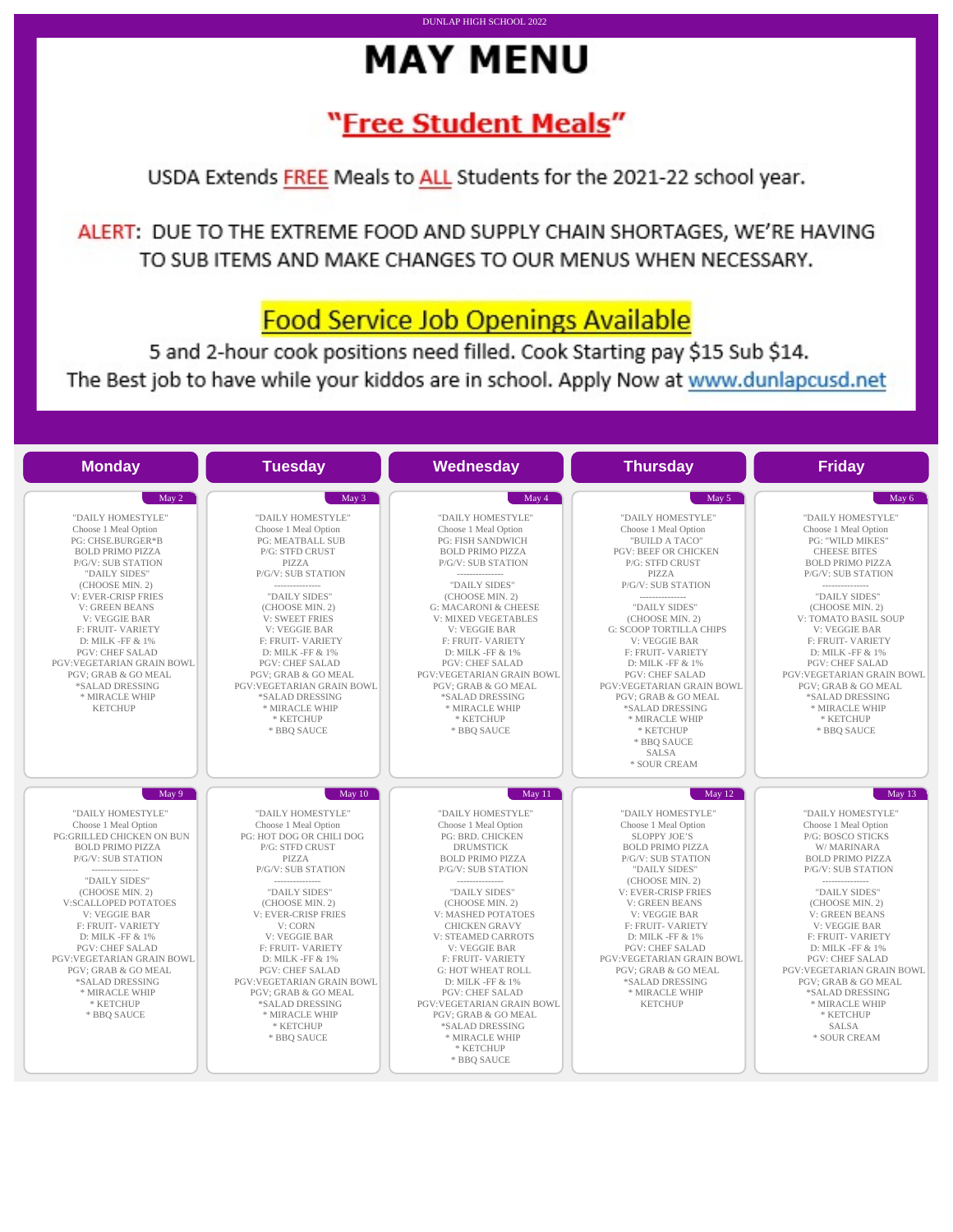# **MAY MENU**

DUNLAP HIGH SCHOOL 2022

## "Free Student Meals"

USDA Extends FREE Meals to ALL Students for the 2021-22 school year.

ALERT: DUE TO THE EXTREME FOOD AND SUPPLY CHAIN SHORTAGES, WE'RE HAVING TO SUB ITEMS AND MAKE CHANGES TO OUR MENUS WHEN NECESSARY.

## **Food Service Job Openings Available**

5 and 2-hour cook positions need filled. Cook Starting pay \$15 Sub \$14. The Best job to have while your kiddos are in school. Apply Now at www.dunlapcusd.net

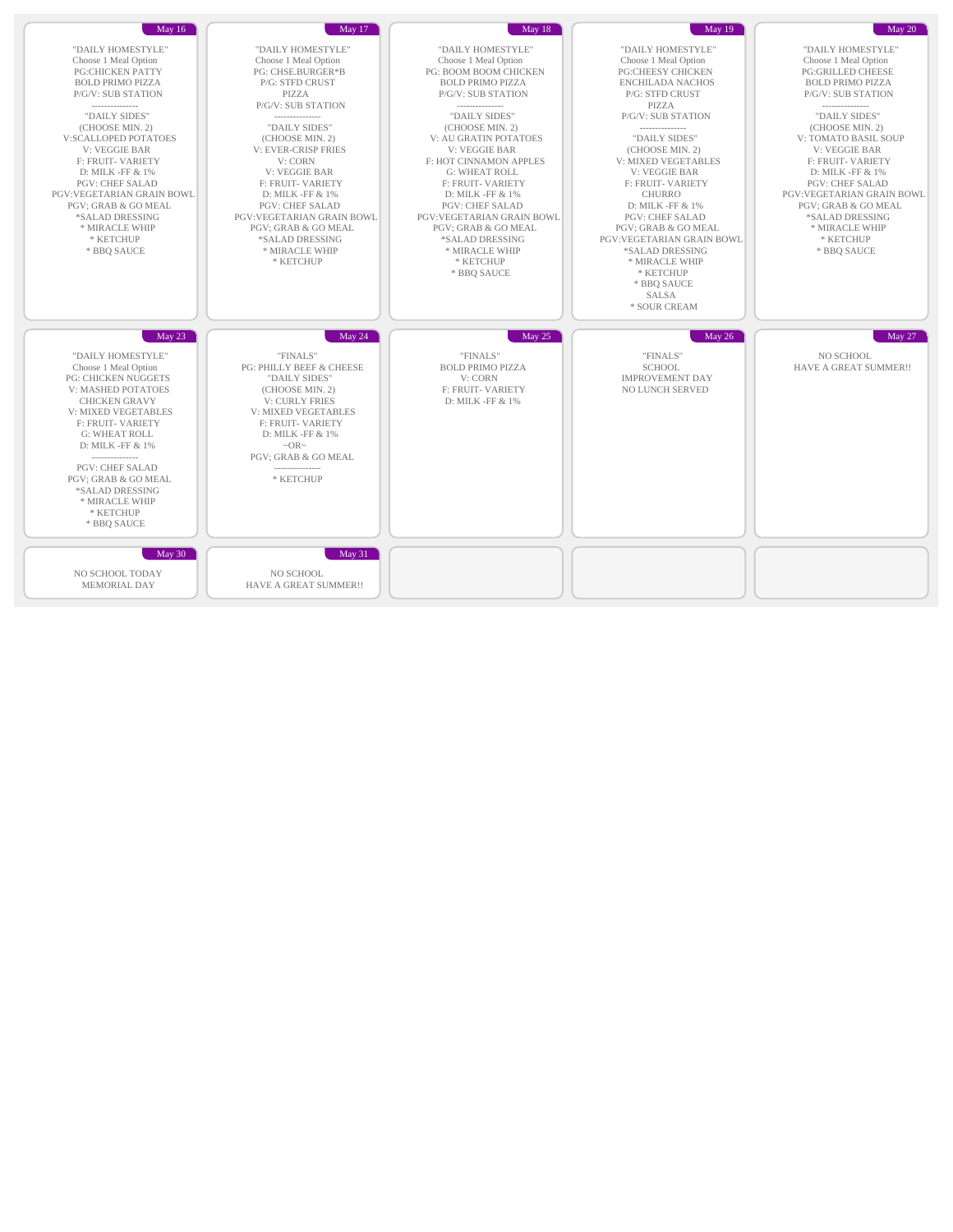| May 16                                                                                                                                                                                                                                                                                                                                                                                                                      | <b>May 17</b>                                                                                                                                                                                                                                                                                                                                                                                                     | May 18                                                                                                                                                                                                                                                                                                                                                                                                                                                                       | May 19                                                                                                                                                                                                                                                                                                                                                                                                                                                                                                   | $\text{May } 20$                                                                                                                                                                                                                                                                                                                                                                                                                        |
|-----------------------------------------------------------------------------------------------------------------------------------------------------------------------------------------------------------------------------------------------------------------------------------------------------------------------------------------------------------------------------------------------------------------------------|-------------------------------------------------------------------------------------------------------------------------------------------------------------------------------------------------------------------------------------------------------------------------------------------------------------------------------------------------------------------------------------------------------------------|------------------------------------------------------------------------------------------------------------------------------------------------------------------------------------------------------------------------------------------------------------------------------------------------------------------------------------------------------------------------------------------------------------------------------------------------------------------------------|----------------------------------------------------------------------------------------------------------------------------------------------------------------------------------------------------------------------------------------------------------------------------------------------------------------------------------------------------------------------------------------------------------------------------------------------------------------------------------------------------------|-----------------------------------------------------------------------------------------------------------------------------------------------------------------------------------------------------------------------------------------------------------------------------------------------------------------------------------------------------------------------------------------------------------------------------------------|
| "DAILY HOMESTYLE"<br>Choose 1 Meal Option<br><b>PG:CHICKEN PATTY</b><br><b>BOLD PRIMO PIZZA</b><br>P/G/V: SUB STATION<br>---------------<br>"DAILY SIDES"<br>(CHOOSE MIN. 2)<br>V:SCALLOPED POTATOES<br><b>V: VEGGIE BAR</b><br><b>F: FRUIT- VARIETY</b><br>D: MILK -FF & 1%<br><b>PGV: CHEF SALAD</b><br>PGV:VEGETARIAN GRAIN BOWL<br>PGV; GRAB & GO MEAL<br>*SALAD DRESSING<br>* MIRACLE WHIP<br>* KETCHUP<br>* BBO SAUCE | "DAILY HOMESTYLE"<br>Choose 1 Meal Option<br>PG: CHSE.BURGER*B<br>P/G: STFD CRUST<br>PIZZA<br>P/G/V: SUB STATION<br>---------------<br>"DAILY SIDES"<br>(CHOOSE MIN. 2)<br><b>V: EVER-CRISP FRIES</b><br>V: CORN<br>V: VEGGIE BAR<br><b>F: FRUIT- VARIETY</b><br>D: MILK -FF & 1%<br><b>PGV: CHEF SALAD</b><br>PGV:VEGETARIAN GRAIN BOWL<br>PGV; GRAB & GO MEAL<br>*SALAD DRESSING<br>* MIRACLE WHIP<br>* KETCHUP | "DAILY HOMESTYLE"<br>Choose 1 Meal Option<br>PG: BOOM BOOM CHICKEN<br><b>BOLD PRIMO PIZZA</b><br>P/G/V: SUB STATION<br>----------------<br>"DAILY SIDES"<br>(CHOOSE MIN. 2)<br>V: AU GRATIN POTATOES<br><b>V: VEGGIE BAR</b><br>F: HOT CINNAMON APPLES<br><b>G: WHEAT ROLL</b><br>F: FRUIT-VARIETY<br>D: MILK -FF & 1%<br><b>PGV: CHEF SALAD</b><br><b>PGV:VEGETARIAN GRAIN BOWL</b><br>PGV; GRAB & GO MEAL<br>*SALAD DRESSING<br>* MIRACLE WHIP<br>* KETCHUP<br>* BBQ SAUCE | "DAILY HOMESTYLE"<br>Choose 1 Meal Option<br><b>PG:CHEESY CHICKEN</b><br><b>ENCHILADA NACHOS</b><br>P/G: STFD CRUST<br>PIZZA<br>P/G/V: SUB STATION<br>---------------<br>"DAILY SIDES"<br>(CHOOSE MIN. 2)<br>V: MIXED VEGETABLES<br>V: VEGGIE BAR<br><b>F: FRUIT- VARIETY</b><br><b>CHURRO</b><br>D: MILK -FF & 1%<br><b>PGV: CHEF SALAD</b><br>PGV; GRAB & GO MEAL<br><b>PGV:VEGETARIAN GRAIN BOWL</b><br>*SALAD DRESSING<br>* MIRACLE WHIP<br>* KETCHUP<br>* BBO SAUCE<br><b>SALSA</b><br>* SOUR CREAM | "DAILY HOMESTYLE"<br>Choose 1 Meal Option<br><b>PG:GRILLED CHEESE</b><br><b>BOLD PRIMO PIZZA</b><br>P/G/V: SUB STATION<br>---------------<br>"DAILY SIDES"<br>(CHOOSE MIN. 2)<br>V: TOMATO BASIL SOUP<br><b>V: VEGGIE BAR</b><br><b>F: FRUIT- VARIETY</b><br>D: MILK -FF & 1%<br><b>PGV: CHEF SALAD</b><br>PGV:VEGETARIAN GRAIN BOWL<br><b>PGV: GRAB &amp; GO MEAL</b><br>*SALAD DRESSING<br>* MIRACLE WHIP<br>* KETCHUP<br>* BBO SAUCE |
| May $23$<br>"DAILY HOMESTYLE"<br>Choose 1 Meal Option<br><b>PG: CHICKEN NUGGETS</b><br>V: MASHED POTATOES<br><b>CHICKEN GRAVY</b><br><b>V: MIXED VEGETABLES</b><br><b>F: FRUIT- VARIETY</b><br><b>G: WHEAT ROLL</b><br>D: MILK -FF & 1%<br>---------------<br><b>PGV: CHEF SALAD</b><br>PGV; GRAB & GO MEAL<br>*SALAD DRESSING<br>* MIRACLE WHIP<br>* KETCHUP<br>* BBO SAUCE                                                | May 24<br>"FINALS"<br>PG: PHILLY BEEF & CHEESE<br>"DAILY SIDES"<br>(CHOOSE MIN. 2)<br><b>V: CURLY FRIES</b><br>V: MIXED VEGETABLES<br>F: FRUIT-VARIETY<br>D: MILK -FF & 1%<br>$\sim$ OR $\sim$<br><b>PGV: GRAB &amp; GO MEAL</b><br>* KETCHUP                                                                                                                                                                     | May 25<br>"FINALS"<br><b>BOLD PRIMO PIZZA</b><br>V: CORN<br>F: FRUIT-VARIETY<br>D: MILK -FF & 1%                                                                                                                                                                                                                                                                                                                                                                             | May 26<br>"FINALS"<br><b>SCHOOL</b><br><b>IMPROVEMENT DAY</b><br><b>NO LUNCH SERVED</b>                                                                                                                                                                                                                                                                                                                                                                                                                  | May 27<br>NO SCHOOL<br>HAVE A GREAT SUMMER!!                                                                                                                                                                                                                                                                                                                                                                                            |
| May 30<br>NO SCHOOL TODAY<br><b>MEMORIAL DAY</b>                                                                                                                                                                                                                                                                                                                                                                            | May 31<br>NO SCHOOL<br>HAVE A GREAT SUMMER!!                                                                                                                                                                                                                                                                                                                                                                      |                                                                                                                                                                                                                                                                                                                                                                                                                                                                              |                                                                                                                                                                                                                                                                                                                                                                                                                                                                                                          |                                                                                                                                                                                                                                                                                                                                                                                                                                         |